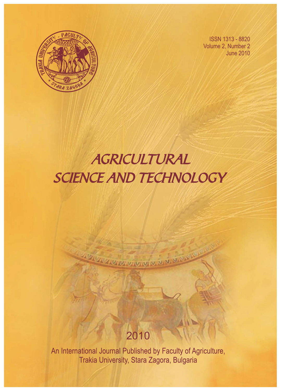

ISSN 1313 - 8820 Volume 2, Number 2 June 2010

# AGRICULTURAL SCIENCE AND TECHNOLOGY

## 2010

**ACTIVITY ARRANGEMENT WAS SERVED** 

An International Journal Published by Faculty of Agriculture, Trakia University, Stara Zagora, Bulgaria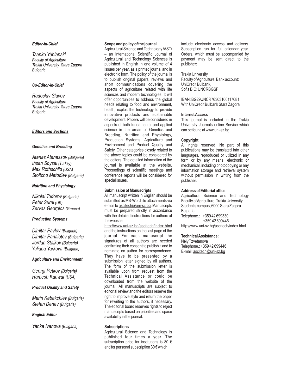#### **Editor-in-Chief**

Tsanko Yablanski Faculty of Agriculture Trakia University, Stara Zagora Bulgaria

### Co-Editor-in-Chief

Radoslav Slavov **Faculty of Agriculture** Trakia University, Stara Zagora **Bulgaria** 

#### **Editors and Sections**

#### **Genetics and Breeding**

Atanas Atanassov (Bulgaria) Ihsan Soysal (Turkey) Max Rothschild (USA) Stoitcho Metodiev (Bulgaria)

#### **Nutrition and Physiology**

Nikolai Todorov (Bulgaria) Peter Surai (UK) Zervas Georgios (Greece)

#### **Production Systems**

Dimitar Pavlov (Bulgaria) Dimitar Panaiotov (Bulgaria) Jordan Staikov (Bulgaria) Yuliana Yarkova (Bulgaria)

#### **Agriculture and Environment**

Georgi Petkov (Bulgaria) Ramesh Kanwar (USA)

#### **Product Quality and Safety**

Marin Kabakchiev (Bulgaria) Stefan Denev (Bulgaria)

#### **English Editor**

Yanka Ivanova (Bulgaria)

#### **Scope and policy of the journal**

Agricultural Science and Technology /AST/ – an International Scientific Journal of Agricultural and Technology Sciences is published in English in one volume of 4 issues per year, as a printed journal and in electronic form. The policy of the journal is to publish original papers, reviews and short communications covering the aspects of agriculture related with life sciences and modern technologies. It will offer opportunities to address the global needs relating to food and environment, health, exploit the technology to provide innovative products and sustainable development. Papers will be considered in aspects of both fundamental and applied science in the areas of Genetics and Breeding, Nutrition and Physiology, Production Systems, Agriculture and Environment and Product Quality and Safety. Other categories closely related to the above topics could be considered by the editors. The detailed information of the journal is available at the website. Proceedings of scientific meetings and conference reports will be considered for special issues.

#### **Submission of Manuscripts**

All manuscript written in English should be submitted as MS-Word file attachments via e-mail to ascitech@uni-sz.bg. Manuscripts must be prepared strictly in accordance with the detailed instructions for authors at the website

http://www.uni-sz.bg/ascitech/index.html and the instructions on the last page of the journal. For each manuscript the signatures of all authors are needed confirming their consent to publish it and to nominate on author for correspondence. They have to be presented by a submission letter signed by all authors. The form of the submission letter is available upon from request from the Technical Assistance or could be downloaded from the website of the journal. All manuscripts are subject to editorial review and the editors reserve the right to improve style and return the paper for rewriting to the authors, if necessary. The editorial board reserves rights to reject manuscripts based on priorities and space availability in the journal.

#### **Subscriptions**

Agricultural Science and Technology is published four times a year. The subscription price for institutions is 80 € and for personal subscription 30 € which

include electronic access and delivery. Subscription run for full calendar year. Orders, which must be accompanied by payment may be sent direct to the publisher:

#### Trakia University

Faculty of Agriculture, Bank account: UniCredit Bulbank, Sofia BIC: UNCRBGSF

IBAN: BG29UNCR76303100117681 With UniCredit Bulbank Stara Zagora

#### **Internet Access**

This journal is included in the Trakia University Journals online Service which can be found at www.uni-sz.bg.

#### **Copyright**

All rights reserved. No part of this publications may be translated into other languages, reproduced or utilized in any form or by any means, electronic or mechanical, including photocopying or any information storage and retrieval system without permission in writing from the publisher.

#### **Address of Editorial office**:

Agricultural Science and Technology Faculty of Agriculture, Trakia University Student's campus, 6000 Stara Zagora Bulgaria Telephone.: +359 42 699330 +359 42 699446 http://www.uni-sz.bg/ascitech/index.html

#### **Technical Assistance:**

Nely Tzvetanova Telephone.: +359 42 699446 E-mail: ascitech@uni-sz.bg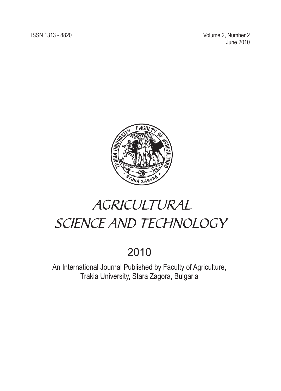**ISSN 1313 - 8820** 

2, Number 2 June 2010



# AGRICULTURAL SCIENCE AND TECHNOLOGY

## 2010

An International Journal Published by Faculty of Agriculture, Trakia University, Stara Zagora, Bulgaria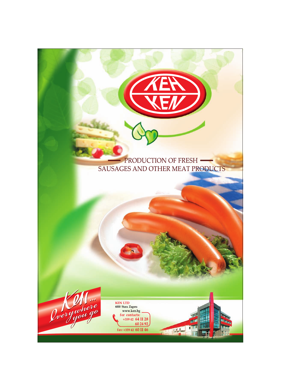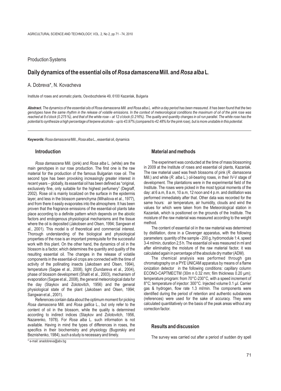Production Systems

## **Daily dynamics of the essential oils of** *Rosa damascena***Mill. and** *Rosa alba* **L**.

### A. Dobreva\*, N. Kovacheva

Institute of roses and aromatic plants, Osvobozhdenie 49, 6100 Kazanlak, Bulgaria

*Abstract. The dynamics of the essential oils of Rosa damascena Mill. and Rosa alba L. within a day period has been measured. It has been found that the two genotypes have the same rhythm in the release of volatile emissions. In the context of meteorological conditions the maximum of oil of the pink rose was reached at 8 o'clock (0.275 %), and that of the white rose – at 12 o'clock (0.216%). The quality and quantity changes in oil run parallel. The white rose has the potential to synthesize a high percentage of terpene alcohols – up to 43.97% (compared to 42.48% for the pink rose), but is more unstable in this potential.*

**Keywords:***Rosa damascena*Mill., *Rosa alba* L., essential oil, dynamics

main genotypes in our rose production. The first one is the raw in 2009 at the Institute of roses and essential oil plants, Kazanlak.<br>general for the production of the famous Bulgarian rose oil. The The raw material used w material for the production of the famous Bulgarian rose oil. The The raw material used was fresh blossoms of pink (*R. damascena*<br>Second type has been provoking increasingly greater interest in Mill.) and white (*R. alba* second type has been provoking increasingly greater interest in Mill.) and white (*R. alba* L.) oil-bearing roses, in their IV-V stage of second type has been provoking increasingly greater interest in Mill.) and white (*R* recent years – globally, its essential oil has been defined as "original, development. The plantations were in the experimental field of the recent years – globally, its essential oil has been defined as "original, develop exclusively fine, only suitable for the highest perfumery" (Degraff, 2002). Rose oil is mainly localized on the surface in the epidermis day: at 6 a.m, 8 a.m, 10 a.m, 12 noon and 4 p.m. and distillation was 1<br>2002). Rose oil is mainly localized on the surface in the epidermis day: at 6 a.m, layer, and less in the blossom parenchyma (Mihailova et al., 1977), performed immediately after that. Other data was recorded for the late was recorded for the late was recorded for the atmosphere it has been same hours: a and from there it easily evaporates into the atmosphere. It has been same hours: air temperature, air humidity, clouds and wind the proven that the fragrance emissions of the essential-oil plants take values for which were proven that the fragrance emissions of the essential-oil plants take values for which were taken from the Meteorological station in place according to a definite pattern which depends on the abiotic Kazanlak, which is posi place according to a definite pattern which depends on the abiotic Kazanlak, which is positioned on the grounds of the Institute. The protocording to the weight factors and endogenous physiological mechanisms and the tissue moisture<br>where the oil is denosited (Jakobsen and Olsen, 1994; Sangwan et method. where the oil is deposited (Jakobsen and Olsen, 1994; Sangwan et method.<br>al. 2001). This model is of theoretical and commercial interest The content of essential oil in the raw material was determined al., 2001). This model is of theoretical and commercial interest.<br>Thorough understanding of the biological and physiological by distillation, done in a Clevenger apparatus, with the following Thorough understanding of the biological and physiological by distillation, done in a Clevenger apparatus, with the following unoperties of the rose is an important prerequisite for the successful parameters: quantity of t properties of the rose is an important prerequisite for the successful parameters: quantity of the sample - 200 g, hydromodule 1:4, speed work with this plant. On the other hand, the dynamics of oil in the  $3-4$  ml/min, du work with this plant. On the other hand, the dynamics of oil in the  $\frac{3-4 \text{ ml/min}}{4}$ , duration 2,5 h. The essential oil was measured in ml and this plant. On the other hand, the dynamics of oil in the  $\frac{3-4 \text{ ml/min}}{4}$  af blossom is a factor, which determines the quantity and quality of the after eliminating the moisture of the raw material factor, it was blossom is a factor, it was blocked and the release of volatile calculated again in pe resulting essential oil. The changes in the release of volatile calculated again in percentage of the absolute dry matter (ADM).<br>components in the essential-oil crops are connected with the time of The chemical analysis wa components in the essential-oil crops are connected with the time of The chemical analysis was performed through gas<br>activity of the pollinating insects (Jakobsen and Olsen 1994) chromatography on a PYE UNICAM apparatus by activity of the pollinating insects (Jakobsen and Olsen, 1994), chromatography on a PYE UNICAM apparatus by means of a flame<br>temperature (Sagae et al., 2008), light (Dundareva et al., 2004), conization detector in the foll temperature (Sagae et al., 2008), light (Dundareva et al., 2004), conization detector in the following conditions: capillary column temperature (Sagae et al., 2008), light (Dundareva et al., 2004), consistent (Shalit et al phase of blossom development (Shalit et al., 2003), mechanism of ECONO-CAPTMECTM (30m n 0.32 mm; film thickness 0.20 µm);<br>evaporation (Sagae et al., 2008), the general meteorological data for temperature program: from 70°C evaporation (Sagae et al., 2008), the general meteorological data for temperature program: from 70°C-230°C, with a speed increment of the day (Staykov and Zolotovitch, 1956) and the general  $8^{\circ}$ C; temperature of injecto the day (Staykov and Zolotovitch, 1956) and the general 8°C; temperature of injector: 300°C. Injected volume 0.1 µl. Carrier<br>physiological state of the plant (Jakobsen and Olsen, 1994; gas & hydrogen, flow rate 1.3 ml/min. physiological state of the plant (Jakobsen and Olsen, 1994; Sangwan et al., 2001).

*Rosa damascena Mill. and Rosa gallica* L., but only refer to the calculated quantition factor.<br>
content of oil in the blossom while the quality is determined correction factor. content of oil in the blossom, while the quality is determined according to indirect indices (Staykov and Zolotovitch, 1956, Nazarenko, 1978). For *Rosa alba* L. such information is not available. Having in mind the types of differences in roses, the **Results and discussion** specifics in their biochemistry and physiology (Bugorskiy and Beznishenko, 1984), such a study is necessary and timely.

#### **Introduction Material and methods**

*Rosa damascena* Mill. (pink) and *Rosa alba* L. (white) are the **The experiment was conducted at the time of mass blossoming**<br>a genotypes in our rose production. The first one is the raw in 2009 at the Institute of roses

identified during the period of retention and authentic substances References contain data about the optimum moment for picking (references) were used for the sake of accuracy. They were<br>a damascena Mill and Rosa gallica Lubut only refer to the calculated quantitatively on the basis of th

The survey was carried out after a period of sudden dry spell

\* e-mail: anadobreva@abv.bg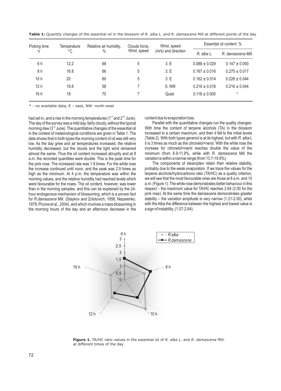| Picking time    | Temperature<br>°C | Relative air humidity,<br>$\%$ | Clouds force,<br>Wind, speed | Wind, speed         | <b>Essential oil content,%</b> |                    |  |
|-----------------|-------------------|--------------------------------|------------------------------|---------------------|--------------------------------|--------------------|--|
|                 |                   |                                |                              | (m/s) and direction | R. alba L.                     | R. damascena Mill. |  |
| 6h              | 12.2              | 68                             | 5                            | 3.E                 | $0.088 \pm 0.029$              | $0.147 \pm 0.000$  |  |
| 8 h             | 16.8              | 66                             | 5                            | 3.E                 | $0.167 \pm 0.016$              | $0.275 \pm 0.017$  |  |
| 10 <sub>h</sub> | 20                | 60                             | 5                            | 3.E                 | $0.162 \pm 0.014$              | $0.226 \pm 0.044$  |  |
| 12 <sub>h</sub> | 19.8              | 58                             |                              | 6. NW               | $0.216 \pm 0.016$              | $0.216 \pm 0.044$  |  |
| 16h             | 18                | 70                             |                              | Quiet               | $0.118 \pm 0.000$              | $^\star$           |  |

**Table 1:** Quantity changes of the essential oil in the blossom of *R. alba* L. and *R. damascena* Mill at different points of the day

 $*$  - no available data,  $E$  – east, NW- north-west

had set in, and a rise in the morning temperatures (1<sup>-st</sup> and 2<sup>-nd</sup> June). content due to evaporation loss.<br>The day of the survey was a mild day, fairly cloudy, without the typical Parallel with the quantitative changes The day of the survey was a mild day, fairly cloudy, without the typical morning dew ( $3<sup>rd</sup>$  June). The quantitative changes of the essential oil almost the same. Thus the oil content increased abruptly and at 8 minimum (from 6.9-11.9%, while with *R. damasneu*<br>a.m. the recorded quantities were double. This is the peak time for variation is within a narrow range (fr a.m. the recorded quantities were double. This is the peak time for variation is within a narrow range (from 13.7-19.9%).<br>the pink rose. The increased rate was 1.9 times. For the white rose The components of stearopten ret the pink rose. The increased rate was 1.9 times. For the white rose morning values, and the relative humidity had reached levels which 1978; Picone et al., 2004), and which involves a mass blossoming in the morning hours of the day and an afternoon decrease in the a sign of instability. (1.07-2.64).

With time the content of terpene alcohols (TA) in the blossom increased to a certain maximum, and then it fell to the initial levels in the context of meteorological conditions are given in Table 1. The increased to a certain maximum, and then it fell to the initial levels data shows that in both types the morning content of oil was still very (Table 2) data shows that in both types the morning content of oil was still very (Table 2). With both types geraniol is at its highest, but with *R. alba* L<br>low. As the day grew and air temperatures increased, the relative it is 3 low. As the day grew and air temperatures increased, the relative it is 3 times as much as the citronelol+nerol. With the white rose the humidity decreased, but the clouds and the light wind remained increase for citronelo humidity decreased, but the clouds and the light wind remained increase for citronelol+nerol reaches double the value of the almost the same. Thus the oil content increased abruptly and at 8 minimum (from 6.9-11.9%, while

the increase continued until noon, and the peak was 2.9 times as probably due to the weak evaporation. If we trace the values for the high as the minimum. At 4 p.m. the temperature was within the terpene alcohols/hydrocarb high as the minimum. At 4 p.m. the temperature was within the terpene alcohols/hydrocarbons ratio (TA/HC) as a quality criterion, morning values, and the relative humidity had reached levels which we will see that the most were favourable for the roses. The oil content, however, was lower a.m. (Figure 1). The white rose demonstrates better behaviour in this than in the morning samples, and this can be explained by the 24-<br>respect – the maxim respect – the maximum value for TA/HC reaches 2.64 (2.00 for the pink rose). At the same time the damascene demonstrates greater hour endogenous mechanism of blossoming, which is a proven fact pink rose). At the same time the damascene demonstrates greater<br>for R.damascena Mill. (Staykov and Zolotovich, 1956; Nazarenko, stability – the variation ampl for *R.damascena Mill.* (Staykov and Zolotovich, 1956; Nazarenko, stability – the variation amplitude is very narrow (1.21-2.00), while 1978; Picone et al., 2004), and which involves a mass blossoming in with the Alba the



**Figure 1.** TA/HC ratio values in the essential oil of *R. alba* L. and *R. damascena* Mill. at different times of the day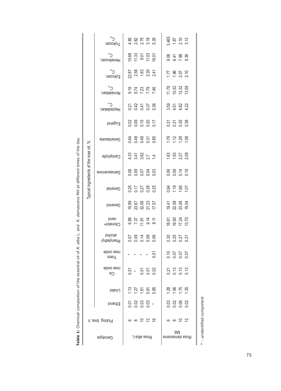| Typical ingredients of the rose oil, % | $\mathcal{C}^3$<br>Trykozan         |              |  | 86<br>2020 10:00<br>2020 10:00                                 |  |                         |  | 3.465<br>1.87<br>2.13<br>3.13                                   |  |  |
|----------------------------------------|-------------------------------------|--------------|--|----------------------------------------------------------------|--|-------------------------|--|-----------------------------------------------------------------|--|--|
|                                        | $\Omega^{\text{SL}}$<br>Heneikozan, |              |  | 15.68<br>11.33<br>11.03<br>16.01                               |  |                         |  | 06 4 5 6<br>06 4 6 6<br>0 6 7 6 6                               |  |  |
|                                        | $C^{50}$<br>Eykozan,                |              |  | ន្ត<br>ខ្លួ ខ្លួ ខ្លួ <del>ប្</del><br>ខ្លួ ស ស ស              |  |                         |  | 7. 9. 9. 9.<br>7. 9. 9. 9.<br>7. 9. 9. 9.                       |  |  |
|                                        | $C^{18}$<br>Nonadekan,              |              |  | 9 7 2 3 9 9<br>9 7 2 3 9 9<br>9 8 7 7 9 9                      |  |                         |  | $\begin{array}{c} 11.78 \\ 10.32 \\ 12.39 \\ 13.59 \end{array}$ |  |  |
|                                        | Heptadekan,                         |              |  | 21<br>21<br>21<br>21<br>21<br>21<br>20<br>20<br>20<br>20<br>20 |  |                         |  | 22 22 23 24<br>22 22 22 23 24                                   |  |  |
|                                        | Eugenol                             |              |  |                                                                |  |                         |  | ភ<br>ខី ភី ងី នី<br>ខី ខី ខី                                    |  |  |
|                                        | Geranilaceta                        |              |  | 8 3 3 5 8<br>8 9 9 7 8<br>8 9 9 7 8                            |  |                         |  | $7.88$<br>$7.88$<br>$7.88$                                      |  |  |
|                                        | <b>Gariophylle</b>                  |              |  | $3.378$<br>$3.48$<br>$7.4$<br>$7.4$<br>$7.4$                   |  |                         |  |                                                                 |  |  |
|                                        | Damascenone                         |              |  | 888588                                                         |  |                         |  | 8 8 7 8<br>0 0 0 0<br>0 0 0 0                                   |  |  |
|                                        | Geranial                            |              |  | 825 826<br>825 826<br>825 826                                  |  |                         |  | 0.1.66<br>1.66<br>1.07                                          |  |  |
|                                        | Geraniol                            |              |  | 19.89<br>23.67<br>23.23<br>17.57                               |  |                         |  | 19.41<br>22.58<br>23.06<br>19.04                                |  |  |
|                                        | nerol<br>Citonelol+                 |              |  |                                                                |  |                         |  | 18 81<br>19 91 24<br>13 70<br>13 70                             |  |  |
|                                        | lodools<br>Phenylethyl              |              |  | 등 8 년 8 8<br>- 8 년 9 8 8                                       |  |                         |  |                                                                 |  |  |
|                                        | rose oxide<br>Trans                 |              |  | $* * * * \circ$                                                |  |                         |  | 2020<br>2020<br>2020                                            |  |  |
|                                        | rose oxide<br>Cis                   |              |  | ទី ៖ ទី១៩<br>ទី ៖ ទី១៩                                         |  |                         |  | ភ្នំ ដូច<br>ក្នុង ដូច                                           |  |  |
|                                        | <b>Linalol</b>                      |              |  | 7.5558                                                         |  |                         |  |                                                                 |  |  |
|                                        | Ethanol                             |              |  | 5888.                                                          |  |                         |  | 8 8 8 8<br>8 8 8 8                                              |  |  |
| Picking time, h                        |                                     |              |  |                                                                |  |                         |  | ဖ ∞ ္ ပ္                                                        |  |  |
| Geuotype                               |                                     | Rosa alba L. |  |                                                                |  | .IIIM<br>Buesseurep eso |  |                                                                 |  |  |

Table 1: Chemical composition of the essential oil of R. alba L. and R. damascena Mill at different times of the day **Table 1:** Chemical composition of the essential oil of *R. alba* L. and *R. damascena* Mill at different times of the day

 $\parallel$ 

 $\parallel$ 

\* - unidentified component \* - unidentified component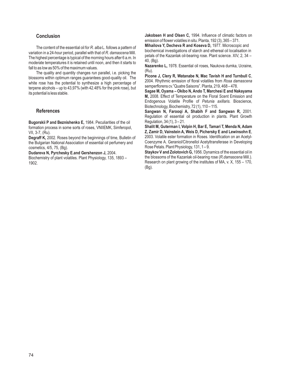The content of the essential oil for *R. alba* L. follows a pattern of<br>variation in a 24-hour period, parallel with that of *R. damascena* Mill.<br>The highest percentage is typical of the morning hours after 6 a.m. In<br>modera

**Bugorskii P and Beznishenko E, 1984. Peculiarities of the oil Shalit M, Guterman I, Volpin H, Bar E, Tamari T, Menda N, Adam formation process in some sorts of roses, VNIIEMK, Simferopol, Shalit M, Guterman I, Volpin H, Bar E, Tamari T, Menda N, Adam <b>Z, Zamir D, Vainstein A, Weis** 

the Bulgarian National Association of essential oil perfumery and cosmetics, 4/5, 75, (Bg). cosmetics, 4/5, 75, (Bg).<br> **Dudareva N, Pyrchesky E.and Gershenzon J,** 2004. **Rose Petals. Plant Physiology, 131, 1** – 9.<br> **Staykov V and Zolotovich G, 1956**. Dyna

Biochemistry of plant volatiles. Plant Physiology, 135, 1893 –

**Conclusion Conclusion Jakobsen H and Olsen C, 1994. Influence of climatic factors on** emission of flower volatiles in situ. Planta, 192 (3), 365 – 371.

Endogenous Volatile Profile of *Petunia axillaris.* Bioscience, Biotechnology, Biochemistry, 72 (1), 110 – 115.

**References Sangwan N, Farooqi A, Shabih F and Sangwan R,** 2001. Regulation of essential oil production in plants. Plant Growth Regulation. 34 (1). 3-21.

**Z, Zamir D, Vainstein A, Weis D, Pichersky E and Lewinsohn E, 2003. Volatile ester formation in Roses. Identification on an Acetyl-Degraff K,** 2002. Roses beyond the beginnings of time, Bulletin of 2003. Volatile ester formation in Roses. Identification on an Acetyl-<br>The Bulgarian National Association of essential oil perfumery and Coenzyme A. Gerani

**Staykov V and Zolotovich G,** 1956. Dynamics of the essential oil in the blossoms of the Kazanlak oil-bearing rose (R. damascena Mill.). 1902. Research on plant growing of the institutes of MA, v. X, 155 – 170, (Bg).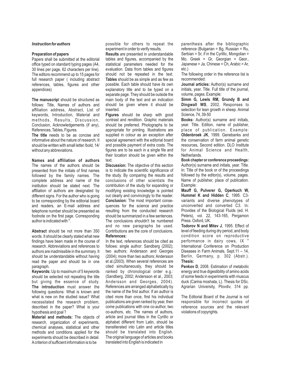#### *Instruction for authors*

#### **Preparation of papers**

Papers shall be submitted at the editorial office typed on standard typing pages (A4, 30 lines per page, 62 characters per line). The editors recommend up to 15 pages for full research paper ( including abstract references, tables, figures and other appendices)

**The manuscrip**t should be structured as follows: Title, Names of authors and affiliation address, Abstract, List of keywords, Introduction, Material and methods, Results, Discussion, Conclusion, Acknowledgements (if any), References, Tables, Figures.

**The title** needs to be as concise and informative about the nature of research. It should be written with small letter /bold, 14/ without any abbreviations.

**Names and affiliation of authors** The names of the authors should be presented from the initials of first names followed by the family names. The complete address and name of the institution should be stated next. The affiliation of authors are designated by different signs. For the author who is going to be corresponding by the editorial board and readers, an E-mail address and telephone number should be presented as footnote on the first page. Corresponding author is indicated with \*.

**Abstract** should be not more than 350 words. It should be clearly stated what new findings have been made in the course of research. Abbreviations and references to authors are inadmissible in the summary. It should be understandable without having read the paper and should be in one paragraph.

**Keywords:** Up to maximum of 5 keywords should be selected not repeating the title but giving the essence of study. **The introduction** must answer the following questions: What is known and what is new on the studied issue? What necessitated the research problem, described in the paper? What is your hypothesis and goal ?

**Material and methods:** The objects of research, organization of experiments, chemical analyses, statistical and other methods and conditions applied for the experiments should be described in detail. A criterion of sufficient information is to be

possible for others to repeat the experiment in order to verify results.

**Results** are presented in understandable tables and figures, accompanied by the statistical parameters needed for the evaluation. Data from tables and figures should not be repeated in the text. **Tables** should be as simple and as few as possible. Each table should have its own explanatory title and to be typed on a separate page. They should be outside the main body of the text and an indication should be given where it should be inserted.

**Figures** should be sharp with good contrast and rendition. Graphic materials should be preferred. Photographs to be appropriate for printing. Illustrations are supplied in colour as an exception after special agreement with the editorial board and possible payment of extra costs. The figures are to be each in a single file and their location should be given within the text

**Discussion:** The objective of this section is to indicate the scientific significance of the study. By comparing the results and conclusions of other scientists the contribution of the study for expanding or modifying existing knowledge is pointed out clearly and convincingly to the reader. **Conclusion:** The most important consequences for the science and practice resulting from the conducted research should be summarized in a few sentences. The conclusions shouldn't be numbered and no new paragraphs be used. Contributions are the core of conclusions. **References:**

In the text, references should be cited as follows: single author: Sandberg (2002); two authors: Andersson and Georges (2004); more than two authors: Andersson et al.(2003). When several references are cited simultaneously, they should be ranked by chronological order e.g.: (Sandberg, 2002; Andersson et al., 2003; Andersson and Georges, 2004). References are arranged alphabetically by the name of the first author. If an author is cited more than once, first his individual publications are given ranked by year, then come publications with one co-author, two co-authors, etc. The names of authors, article and journal titles in the Cyrillic or alphabet different from Latin, should be transliterated into Latin and article titles should be translated into English. The original language of articles and books translated into English is indicated in

parenthesis after the bibliographic reference (Bulgarian = Bg, Russian = Ru, Serbian = Sr, if in the Cyrillic, Mongolian = Mo, Greek = Gr, Georgian = Geor., Japanese = Jа, Chinese = Ch, Arabic = Аr, etc.)

The following order in the reference list is recommended:

**Journal articles:** Author(s) surname and initials, year. Title. Full title of the journal, volume, pages. Example:

**Simm G, Lewis RM, Grundy B and Dingwall WS**, 2002. Responses to selection for lean growth in sheep. Animal Science, 74, 39-50

**Books:** Author(s) surname and initials, year. Title. Edition, name of publisher, place of publication. Example: **Oldenbroek JK**, 1999. Genebanks and the conservation of farm animal genetic resources, Second edition. DLO Institute for Animal Science and Health, Netherlands.

**Book chapter or conference proceedings:** Author(s) surname and initials, year. Title. In: Title of the book or of the proceedings followed by the editor(s), volume, pages. Name of publisher, place of publication. Example:

**Mauff G, Pulverer G, Operkuch W, Hummel K and Hidden C**, 1995. C3 variants and diverse phenotypes of unconverted and converted C3. In: Provides of the Biological Fluids (ed. H. Peters), vol. 22, 143-165, Pergamon Press. Oxford, UK.

**Todorov N and Mitev J**, 1995. Effect of level of feeding during dry period, and body condition score on reproductive performance in dairy cows,  $IX$ <sup>th</sup> International Conference on Production Diseases in Farm Animals, Sept.11 – 14, Berlin, Germany, p. 302 (Abstr.). **Thesis:**

**Penkov D**, 2008. Estimation of metabolic energy and true digestibility of amino acids of some feeds in experiments with muscus duck (Carina moshata, L). Thesis for DSc. Agrarian University, Plovdiv, 314 pp.

The Editorial Board of the Journal is not responsible for incorrect quotes of reference sources and the relevant violations of copyrights.